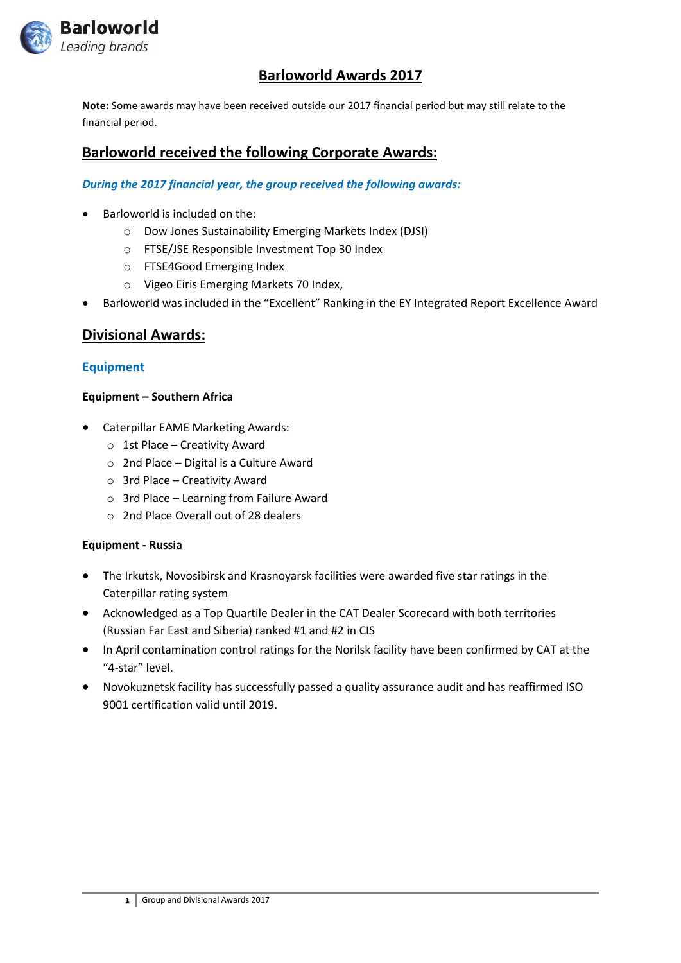

# **Barloworld Awards 2017**

**Note:** Some awards may have been received outside our 2017 financial period but may still relate to the financial period.

# **Barloworld received the following Corporate Awards:**

### *During the 2017 financial year, the group received the following awards:*

- Barloworld is included on the:
	- o Dow Jones Sustainability Emerging Markets Index (DJSI)
	- o FTSE/JSE Responsible Investment Top 30 Index
	- o FTSE4Good Emerging Index
	- o Vigeo Eiris Emerging Markets 70 Index,
- Barloworld was included in the "Excellent" Ranking in the EY Integrated Report Excellence Award

## **Divisional Awards:**

## **Equipment**

#### **Equipment – Southern Africa**

- Caterpillar EAME Marketing Awards:
	- o 1st Place Creativity Award
	- o 2nd Place Digital is a Culture Award
	- o 3rd Place Creativity Award
	- $\circ$  3rd Place Learning from Failure Award
	- o 2nd Place Overall out of 28 dealers

#### **Equipment - Russia**

- The Irkutsk, Novosibirsk and Krasnoyarsk facilities were awarded five star ratings in the Caterpillar rating system
- Acknowledged as a Top Quartile Dealer in the CAT Dealer Scorecard with both territories (Russian Far East and Siberia) ranked #1 and #2 in CIS
- In April contamination control ratings for the Norilsk facility have been confirmed by CAT at the "4-star" level.
- Novokuznetsk facility has successfully passed a quality assurance audit and has reaffirmed ISO 9001 certification valid until 2019.